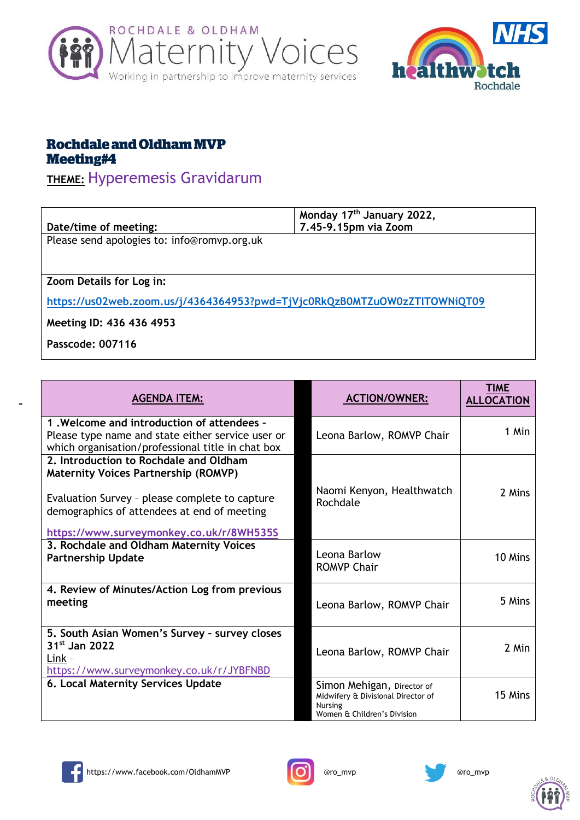



## **Rochdale and Oldham MVP Meeting#4**

## **THEME:** Hyperemesis Gravidarum

| Date/time of meeting:                                                     | Monday 17 <sup>th</sup> January 2022,<br>7.45-9.15pm via Zoom |  |
|---------------------------------------------------------------------------|---------------------------------------------------------------|--|
| Please send apologies to: info@romvp.org.uk                               |                                                               |  |
|                                                                           |                                                               |  |
| Zoom Details for Log in:                                                  |                                                               |  |
| https://us02web.zoom.us/j/4364364953?pwd=TjVjc0RkQzB0MTZuOW0zZTlTOWNiQT09 |                                                               |  |
| Meeting ID: 436 436 4953                                                  |                                                               |  |

**Passcode: 007116**

| <b>AGENDA ITEM:</b>                                                                                                                                                                                                                | <b>ACTION/OWNER:</b>                                                                                              | TIME<br><b>ALLOCATION</b> |
|------------------------------------------------------------------------------------------------------------------------------------------------------------------------------------------------------------------------------------|-------------------------------------------------------------------------------------------------------------------|---------------------------|
| 1. Welcome and introduction of attendees -<br>Please type name and state either service user or<br>which organisation/professional title in chat box                                                                               | Leona Barlow, ROMVP Chair                                                                                         | 1 Min                     |
| 2. Introduction to Rochdale and Oldham<br><b>Maternity Voices Partnership (ROMVP)</b><br>Evaluation Survey - please complete to capture<br>demographics of attendees at end of meeting<br>https://www.surveymonkey.co.uk/r/8WH535S | Naomi Kenyon, Healthwatch<br>Rochdale                                                                             | 2 Mins                    |
| 3. Rochdale and Oldham Maternity Voices<br><b>Partnership Update</b>                                                                                                                                                               | Leona Barlow<br><b>ROMVP Chair</b>                                                                                | 10 Mins                   |
| 4. Review of Minutes/Action Log from previous<br>meeting                                                                                                                                                                           | Leona Barlow, ROMVP Chair                                                                                         | 5 Mins                    |
| 5. South Asian Women's Survey - survey closes<br>31 <sup>st</sup> Jan 2022<br>Link -<br>https://www.surveymonkey.co.uk/r/JYBFNBD                                                                                                   | Leona Barlow, ROMVP Chair                                                                                         | 2 Min                     |
| 6. Local Maternity Services Update                                                                                                                                                                                                 | Simon Mehigan, Director of<br>Midwifery & Divisional Director of<br><b>Nursing</b><br>Women & Children's Division | 15 Mins                   |